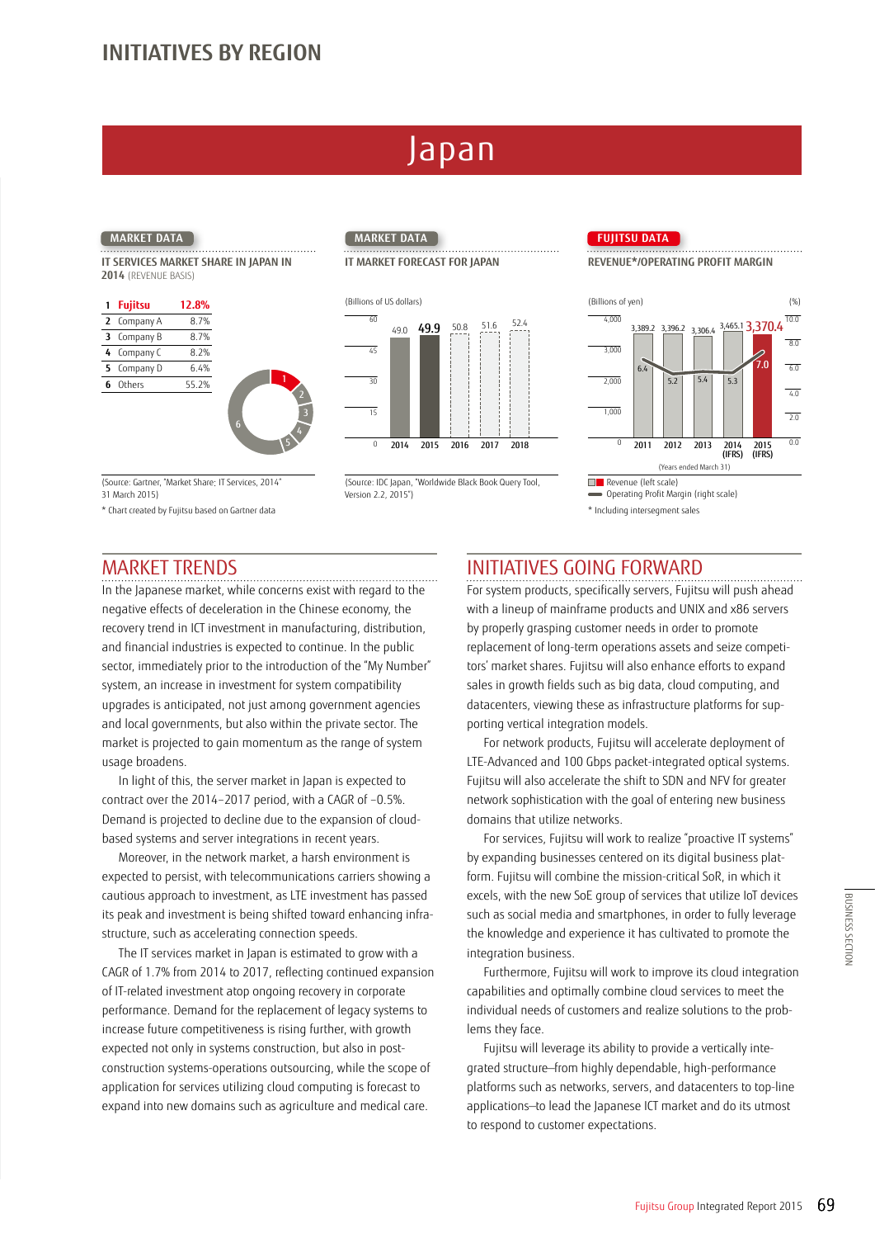# Japan

**IT SERVICES MARKET SHARE IN JAPAN IN 2014** (REVENUE BASIS)

| 1 Fujitsu   | 12.8% |
|-------------|-------|
| 2 Company A | 8.7%  |
| 3 Company B | 8.7%  |
| 4 Company C | 8.2%  |
| 5 Company D | 6.4%  |
| 6 Others    | 55.2% |
|             |       |



## IT MARKET FORECAST FOR JAPAN **REVENUE\*/OPERATING PROFIT MARGIN**



(Source: Gartner, "Market Share: IT Services, 2014" 31 March 2015)

6

\* Chart created by Fujitsu based on Gartner data

# (Source: IDC Japan, "Worldwide Black Book Query Tool,

Version 2.2, 2015")

\* Including intersegment sales

**Revenue (left scale**)

6.4

 $\mathfrak{c}$ 

 $1.000$ 

2,000

 $3,000$ 

 $4,000$ 

3,389.2 3,396.2 3,306.4  $3,465.1$  3,370.4  $10.0$ 

5.4

3,396.2 3,306.4

2011 2013 2012 2014 (IFRS)

(Years ended March 31)

5.2

Operating Profit Margin (right scale)

 $5.3$ 

7.0

2015 (IFRS)

8.0 6.0  $\frac{1}{4.0}$  $\overline{2.0}$ 0.0

## MARKET TRENDS

In the Japanese market, while concerns exist with regard to the negative effects of deceleration in the Chinese economy, the recovery trend in ICT investment in manufacturing, distribution, and financial industries is expected to continue. In the public sector, immediately prior to the introduction of the "My Number" system, an increase in investment for system compatibility upgrades is anticipated, not just among government agencies and local governments, but also within the private sector. The market is projected to gain momentum as the range of system usage broadens.

In light of this, the server market in Japan is expected to contract over the 2014–2017 period, with a CAGR of –0.5%. Demand is projected to decline due to the expansion of cloudbased systems and server integrations in recent years.

Moreover, in the network market, a harsh environment is expected to persist, with telecommunications carriers showing a cautious approach to investment, as LTE investment has passed its peak and investment is being shifted toward enhancing infrastructure, such as accelerating connection speeds.

The IT services market in Japan is estimated to grow with a CAGR of 1.7% from 2014 to 2017, reflecting continued expansion of IT-related investment atop ongoing recovery in corporate performance. Demand for the replacement of legacy systems to increase future competitiveness is rising further, with growth expected not only in systems construction, but also in postconstruction systems-operations outsourcing, while the scope of application for services utilizing cloud computing is forecast to expand into new domains such as agriculture and medical care.

## INITIATIVES GOING FORWARD

For system products, specifically servers, Fujitsu will push ahead with a lineup of mainframe products and UNIX and x86 servers by properly grasping customer needs in order to promote replacement of long-term operations assets and seize competitors' market shares. Fujitsu will also enhance efforts to expand sales in growth fields such as big data, cloud computing, and datacenters, viewing these as infrastructure platforms for supporting vertical integration models.

For network products, Fujitsu will accelerate deployment of LTE-Advanced and 100 Gbps packet-integrated optical systems. Fujitsu will also accelerate the shift to SDN and NFV for greater network sophistication with the goal of entering new business domains that utilize networks.

For services, Fujitsu will work to realize "proactive IT systems" by expanding businesses centered on its digital business platform. Fujitsu will combine the mission-critical SoR, in which it excels, with the new SoE group of services that utilize IoT devices such as social media and smartphones, in order to fully leverage the knowledge and experience it has cultivated to promote the integration business.

Furthermore, Fujitsu will work to improve its cloud integration capabilities and optimally combine cloud services to meet the individual needs of customers and realize solutions to the problems they face.

Fujitsu will leverage its ability to provide a vertically integrated structure—from highly dependable, high-performance platforms such as networks, servers, and datacenters to top-line applications—to lead the Japanese ICT market and do its utmost to respond to customer expectations. Funders and tringer to devices<br>
hones, in order to fully leverage<br>
thas cultivated to promote the<br>
to improve its cloud integration<br>
me cloud services to meet the<br>
d realize solutions to the prob-<br>
to provide a vertically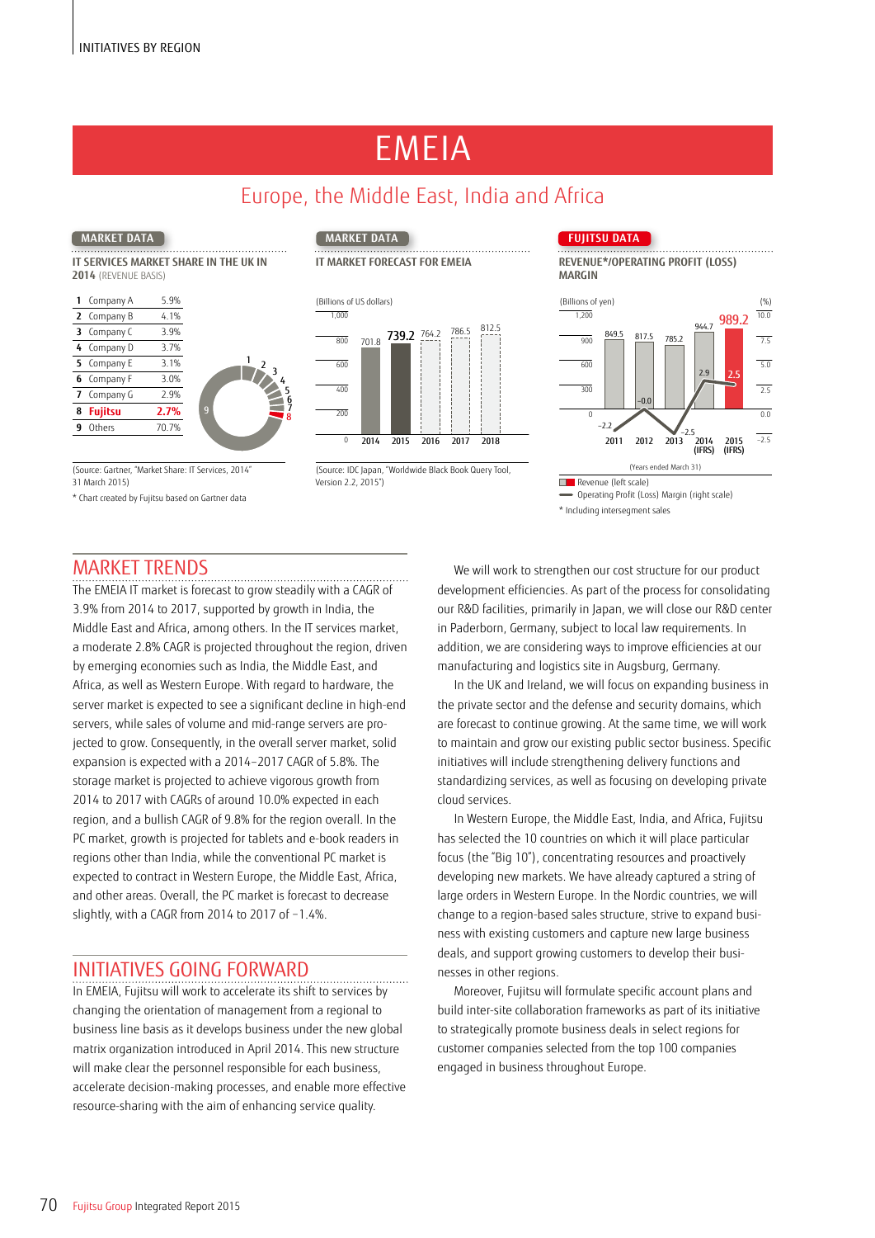# EMEIA

# Europe, the Middle East, India and Africa

**IT SERVICES MARKET SHARE IN THE UK IN 2014** (REVENUE BASIS)

| 3 | 2 Company B<br>Company C | 4.1%  |
|---|--------------------------|-------|
|   |                          |       |
|   |                          | 3.9%  |
|   | 4 Company D              | 3.7%  |
|   | 5 Company E              | 3.1%  |
|   | 6 Company F              | 3.0%  |
|   | 7 Company G              | 2.9%  |
| 8 | <b>Fujitsu</b>           | 2.7%  |
| 9 | Others                   | 70.7% |
|   |                          |       |

31 March 2015)

\* Chart created by Fujitsu based on Gartner data

7 8



<sup>(</sup>Years ended March 31) (Source: Gartner, "Market Share: IT Services, 2014" (Source: IDC Japan, "Worldwide Black Book Query Tool, Version 2.2, 2015")

## **MARKET DATA MARKET DATA FUJITSU DATA**

**IT MARKET FORECAST FOR EMEIA REVENUE\*/OPERATING PROFIT (LOSS) MARGIN**



\* Including intersegment sales Operating Profit (Loss) Margin (right scale)

## MARKET TRENDS

The EMEIA IT market is forecast to grow steadily with a CAGR of 3.9% from 2014 to 2017, supported by growth in India, the Middle East and Africa, among others. In the IT services market, a moderate 2.8% CAGR is projected throughout the region, driven by emerging economies such as India, the Middle East, and Africa, as well as Western Europe. With regard to hardware, the server market is expected to see a significant decline in high-end servers, while sales of volume and mid-range servers are projected to grow. Consequently, in the overall server market, solid expansion is expected with a 2014–2017 CAGR of 5.8%. The storage market is projected to achieve vigorous growth from 2014 to 2017 with CAGRs of around 10.0% expected in each region, and a bullish CAGR of 9.8% for the region overall. In the PC market, growth is projected for tablets and e-book readers in regions other than India, while the conventional PC market is expected to contract in Western Europe, the Middle East, Africa, and other areas. Overall, the PC market is forecast to decrease slightly, with a CAGR from 2014 to 2017 of −1.4%.

## INITIATIVES GOING FORWARD

In EMEIA, Fujitsu will work to accelerate its shift to services by changing the orientation of management from a regional to business line basis as it develops business under the new global matrix organization introduced in April 2014. This new structure will make clear the personnel responsible for each business, accelerate decision-making processes, and enable more effective resource-sharing with the aim of enhancing service quality.

We will work to strengthen our cost structure for our product development efficiencies. As part of the process for consolidating our R&D facilities, primarily in Japan, we will close our R&D center in Paderborn, Germany, subject to local law requirements. In addition, we are considering ways to improve efficiencies at our manufacturing and logistics site in Augsburg, Germany.

In the UK and Ireland, we will focus on expanding business in the private sector and the defense and security domains, which are forecast to continue growing. At the same time, we will work to maintain and grow our existing public sector business. Specific initiatives will include strengthening delivery functions and standardizing services, as well as focusing on developing private cloud services.

In Western Europe, the Middle East, India, and Africa, Fujitsu has selected the 10 countries on which it will place particular focus (the "Big 10"), concentrating resources and proactively developing new markets. We have already captured a string of large orders in Western Europe. In the Nordic countries, we will change to a region-based sales structure, strive to expand business with existing customers and capture new large business deals, and support growing customers to develop their businesses in other regions.

Moreover, Fujitsu will formulate specific account plans and build inter-site collaboration frameworks as part of its initiative to strategically promote business deals in select regions for customer companies selected from the top 100 companies engaged in business throughout Europe.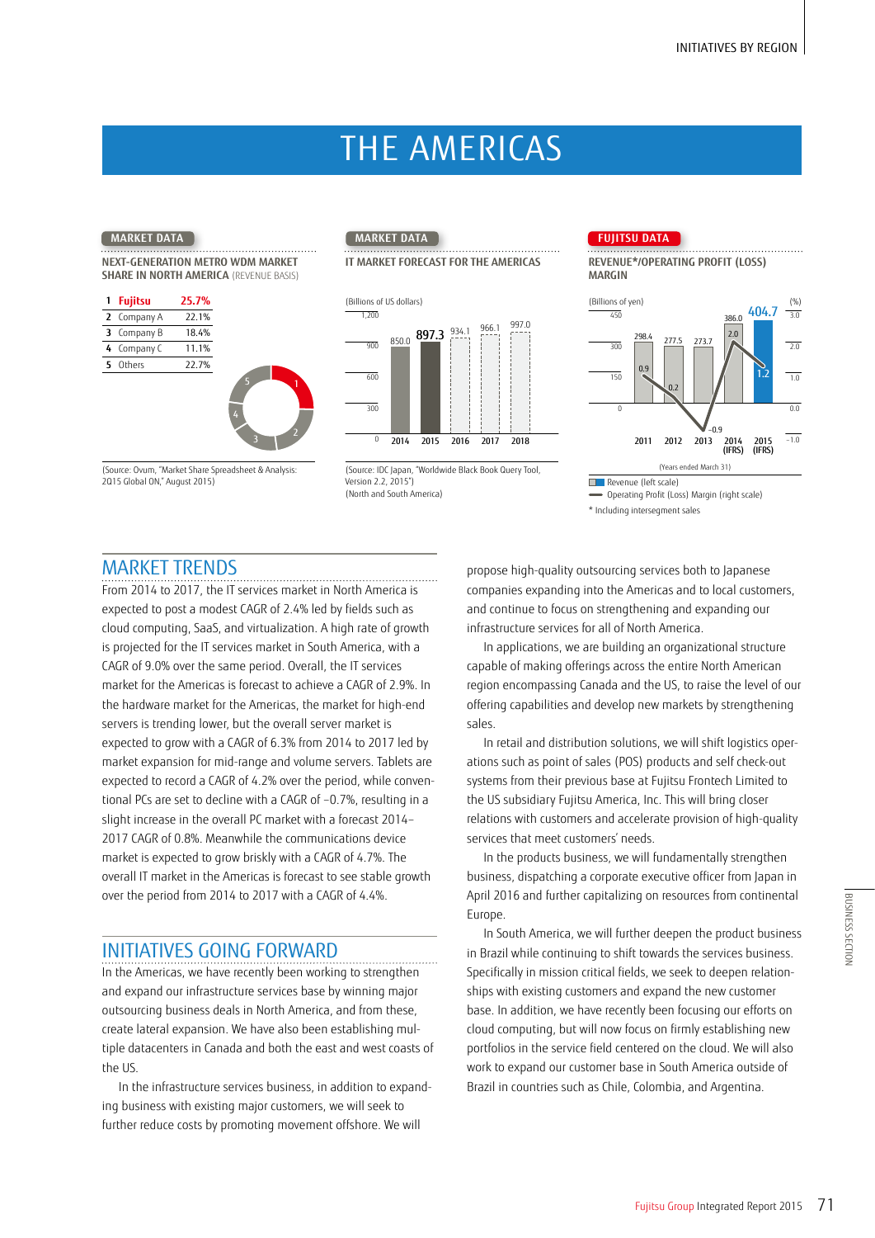# THE AMERICAS

## **NEXT-GENERATION METRO WDM MARKET SHARE IN NORTH AMERICA (REVENUE BASIS)**

|   | 1 Fujitsu   | 25.7% |
|---|-------------|-------|
| 2 | Company A   | 22.1% |
| 3 | Company B   | 18.4% |
|   | 4 Company C | 11.1% |
|   | 5 Others    | 22.7% |
|   |             |       |



(Years ended March 31) (Source: Ovum, "Market Share Spreadsheet & Analysis: (Source: IDC Japan, "Worldwide Black Book Query Tool, Version 2.2, 2015") (North and South America)

## **MARKET DATA MARKET DATA FUJITSU DATA**





Revenue (left scale)

\* Including intersegment sales Operating Profit (Loss) Margin (right scale)

## MARKET TRENDS

2Q15 Global ON," August 2015)

From 2014 to 2017, the IT services market in North America is expected to post a modest CAGR of 2.4% led by fields such as cloud computing, SaaS, and virtualization. A high rate of growth is projected for the IT services market in South America, with a CAGR of 9.0% over the same period. Overall, the IT services market for the Americas is forecast to achieve a CAGR of 2.9%. In the hardware market for the Americas, the market for high-end servers is trending lower, but the overall server market is expected to grow with a CAGR of 6.3% from 2014 to 2017 led by market expansion for mid-range and volume servers. Tablets are expected to record a CAGR of 4.2% over the period, while conventional PCs are set to decline with a CAGR of –0.7%, resulting in a slight increase in the overall PC market with a forecast 2014– 2017 CAGR of 0.8%. Meanwhile the communications device market is expected to grow briskly with a CAGR of 4.7%. The overall IT market in the Americas is forecast to see stable growth over the period from 2014 to 2017 with a CAGR of 4.4%.

1

 $3^2$ 

4

5

## INITIATIVES GOING FORWARD

In the Americas, we have recently been working to strengthen and expand our infrastructure services base by winning major outsourcing business deals in North America, and from these, create lateral expansion. We have also been establishing multiple datacenters in Canada and both the east and west coasts of the US.

In the infrastructure services business, in addition to expanding business with existing major customers, we will seek to further reduce costs by promoting movement offshore. We will

propose high-quality outsourcing services both to Japanese companies expanding into the Americas and to local customers, and continue to focus on strengthening and expanding our infrastructure services for all of North America.

In applications, we are building an organizational structure capable of making offerings across the entire North American region encompassing Canada and the US, to raise the level of our offering capabilities and develop new markets by strengthening sales.

In retail and distribution solutions, we will shift logistics operations such as point of sales (POS) products and self check-out systems from their previous base at Fujitsu Frontech Limited to the US subsidiary Fujitsu America, Inc. This will bring closer relations with customers and accelerate provision of high-quality services that meet customers' needs.

In the products business, we will fundamentally strengthen business, dispatching a corporate executive officer from Japan in April 2016 and further capitalizing on resources from continental Europe.

In South America, we will further deepen the product business in Brazil while continuing to shift towards the services business. Specifically in mission critical fields, we seek to deepen relationships with existing customers and expand the new customer base. In addition, we have recently been focusing our efforts on cloud computing, but will now focus on firmly establishing new portfolios in the service field centered on the cloud. We will also work to expand our customer base in South America outside of Brazil in countries such as Chile, Colombia, and Argentina.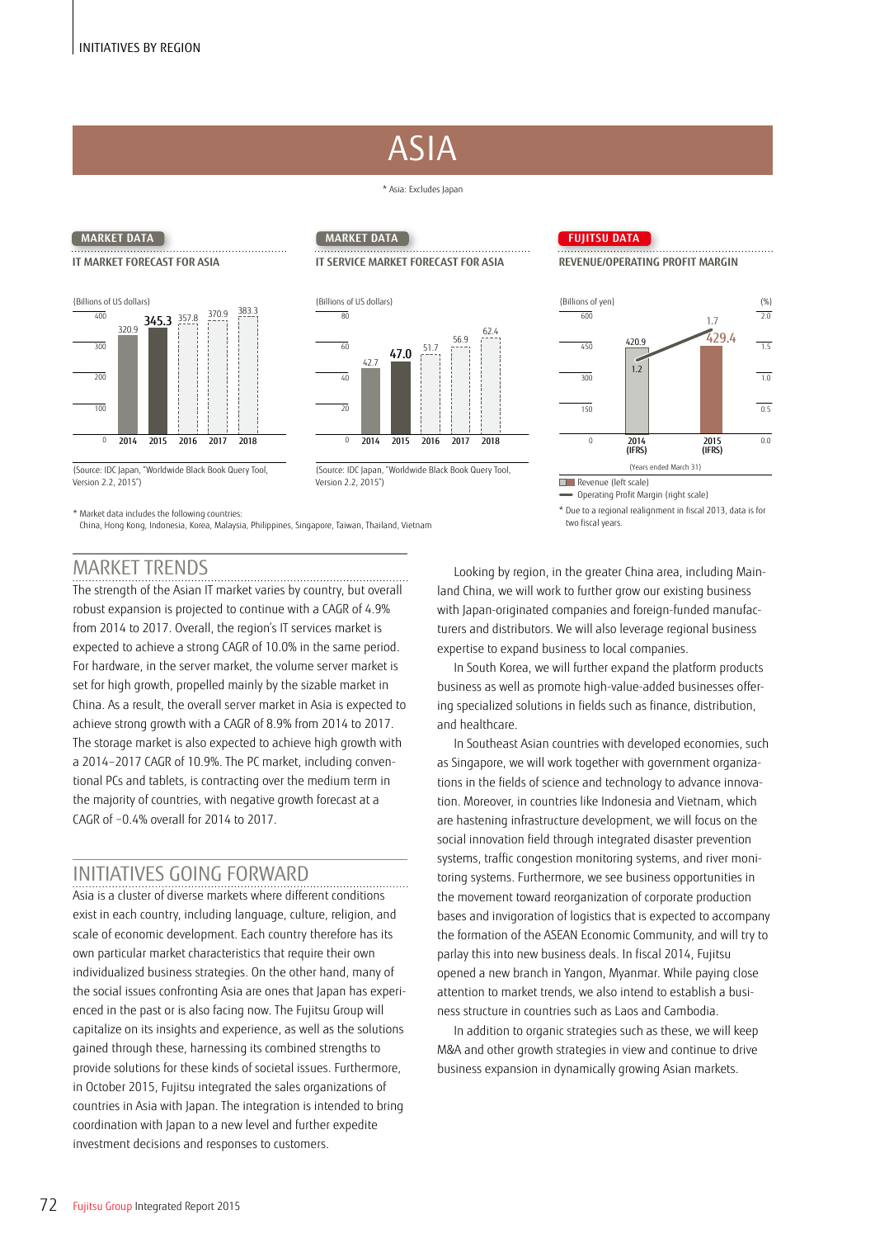# ASIA

## \* Asia: Excludes Japan



## **MARKET DATA MARKET DATA FUJITSU DATA**

## **IT MARKET FORECAST FOR ASIA IT SERVICE MARKET FORECAST FOR ASIA REVENUE/OPERATING PROFIT MARGIN**





Version 2.2, 2015") Revenue (left scale)

Operating Profit Margin (right scale)

\* Due to a regional realignment in fiscal 2013, data is for two fiscal years.

## (Years ended March 31) (Source: IDC Japan, "Worldwide Black Book Query Tool, (Source: IDC Japan, "Worldwide Black Book Query Tool, Version 2.2, 2015")

\* Market data includes the following countries:

China, Hong Kong, Indonesia, Korea, Malaysia, Philippines, Singapore, Taiwan, Thailand, Vietnam

## MARKET TRENDS

The strength of the Asian IT market varies by country, but overall robust expansion is projected to continue with a CAGR of 4.9% from 2014 to 2017. Overall, the region's IT services market is expected to achieve a strong CAGR of 10.0% in the same period. For hardware, in the server market, the volume server market is set for high growth, propelled mainly by the sizable market in China. As a result, the overall server market in Asia is expected to achieve strong growth with a CAGR of 8.9% from 2014 to 2017. The storage market is also expected to achieve high growth with a 2014–2017 CAGR of 10.9%. The PC market, including conventional PCs and tablets, is contracting over the medium term in the majority of countries, with negative growth forecast at a CAGR of −0.4% overall for 2014 to 2017.

## INITIATIVES GOING FORWARD

Asia is a cluster of diverse markets where different conditions exist in each country, including language, culture, religion, and scale of economic development. Each country therefore has its own particular market characteristics that require their own individualized business strategies. On the other hand, many of the social issues confronting Asia are ones that Japan has experienced in the past or is also facing now. The Fujitsu Group will capitalize on its insights and experience, as well as the solutions gained through these, harnessing its combined strengths to provide solutions for these kinds of societal issues. Furthermore, in October 2015, Fujitsu integrated the sales organizations of countries in Asia with Japan. The integration is intended to bring coordination with Japan to a new level and further expedite investment decisions and responses to customers.

Looking by region, in the greater China area, including Mainland China, we will work to further grow our existing business with Japan-originated companies and foreign-funded manufacturers and distributors. We will also leverage regional business expertise to expand business to local companies.

In South Korea, we will further expand the platform products business as well as promote high-value-added businesses offering specialized solutions in fields such as finance, distribution, and healthcare.

In Southeast Asian countries with developed economies, such as Singapore, we will work together with government organizations in the fields of science and technology to advance innovation. Moreover, in countries like Indonesia and Vietnam, which are hastening infrastructure development, we will focus on the social innovation field through integrated disaster prevention systems, traffic congestion monitoring systems, and river monitoring systems. Furthermore, we see business opportunities in the movement toward reorganization of corporate production bases and invigoration of logistics that is expected to accompany the formation of the ASEAN Economic Community, and will try to parlay this into new business deals. In fiscal 2014, Fujitsu opened a new branch in Yangon, Myanmar. While paying close attention to market trends, we also intend to establish a business structure in countries such as Laos and Cambodia.

In addition to organic strategies such as these, we will keep M&A and other growth strategies in view and continue to drive business expansion in dynamically growing Asian markets.